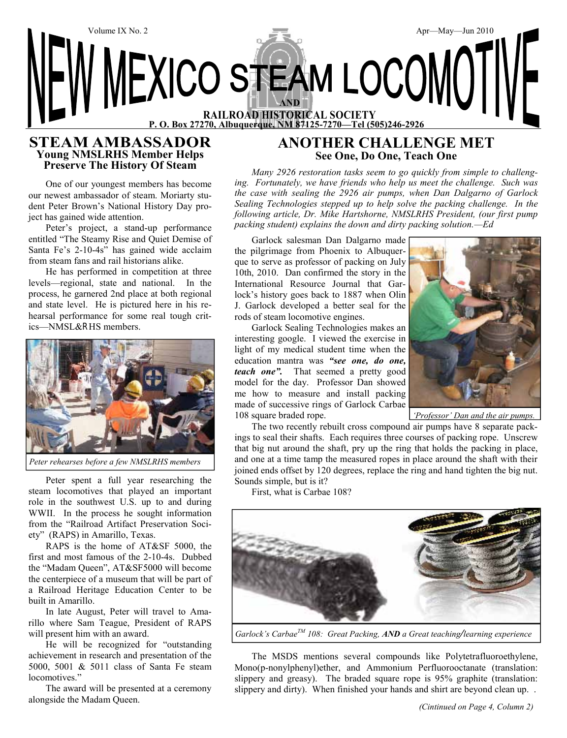

#### **STEAM AMBASSADOR Young NMSLRHS Member Helps Preserve The History Of Steam**

One of our youngest members has become our newest ambassador of steam. Moriarty student Peter Brown's National History Day project has gained wide attention.

Peter's project, a stand-up performance entitled "The Steamy Rise and Quiet Demise of Santa Fe's 2-10-4s" has gained wide acclaim from steam fans and rail historians alike.

He has performed in competition at three levels—regional, state and national. In the process, he garnered 2nd place at both regional and state level. He is pictured here in his rehearsal performance for some real tough critics—NMSL&RHS members.



*Peter rehearses before a few NMSLRHS members*

Peter spent a full year researching the steam locomotives that played an important role in the southwest U.S. up to and during WWII. In the process he sought information from the "Railroad Artifact Preservation Society" (RAPS) in Amarillo, Texas.

RAPS is the home of AT&SF 5000, the first and most famous of the 2-10-4s. Dubbed the "Madam Queen", AT&SF5000 will become the centerpiece of a museum that will be part of a Railroad Heritage Education Center to be built in Amarillo.

In late August, Peter will travel to Amarillo where Sam Teague, President of RAPS will present him with an award.

He will be recognized for "outstanding achievement in research and presentation of the 5000, 5001 & 5011 class of Santa Fe steam locomotives."

The award will be presented at a ceremony alongside the Madam Queen.

## **ANOTHER CHALLENGE MET See One, Do One, Teach One**

*Many 2926 restoration tasks seem to go quickly from simple to challenging. Fortunately, we have friends who help us meet the challenge. Such was the case with sealing the 2926 air pumps, when Dan Dalgarno of Garlock Sealing Technologies stepped up to help solve the packing challenge. In the following article, Dr. Mike Hartshorne, NMSLRHS President, (our first pump packing student) explains the down and dirty packing solution.—Ed*

Garlock salesman Dan Dalgarno made the pilgrimage from Phoenix to Albuquerque to serve as professor of packing on July 10th, 2010. Dan confirmed the story in the International Resource Journal that Garlock's history goes back to 1887 when Olin J. Garlock developed a better seal for the rods of steam locomotive engines.

Garlock Sealing Technologies makes an interesting google. I viewed the exercise in light of my medical student time when the education mantra was *"see one, do one, teach one".* That seemed a pretty good model for the day. Professor Dan showed me how to measure and install packing made of successive rings of Garlock Carbae 108 square braded rope.



*'Professor' Dan and the air pumps.*

The two recently rebuilt cross compound air pumps have 8 separate packings to seal their shafts. Each requires three courses of packing rope. Unscrew that big nut around the shaft, pry up the ring that holds the packing in place, and one at a time tamp the measured ropes in place around the shaft with their joined ends offset by 120 degrees, replace the ring and hand tighten the big nut. Sounds simple, but is it?

First, what is Carbae 108?



*Garlock's CarbaeTM 108: Great Packing, AND a Great teaching/learning experience*

The MSDS mentions several compounds like Polytetrafluoroethylene, Mono(p-nonylphenyl)ether, and Ammonium Perfluorooctanate (translation: slippery and greasy). The braded square rope is 95% graphite (translation: slippery and dirty). When finished your hands and shirt are beyond clean up. .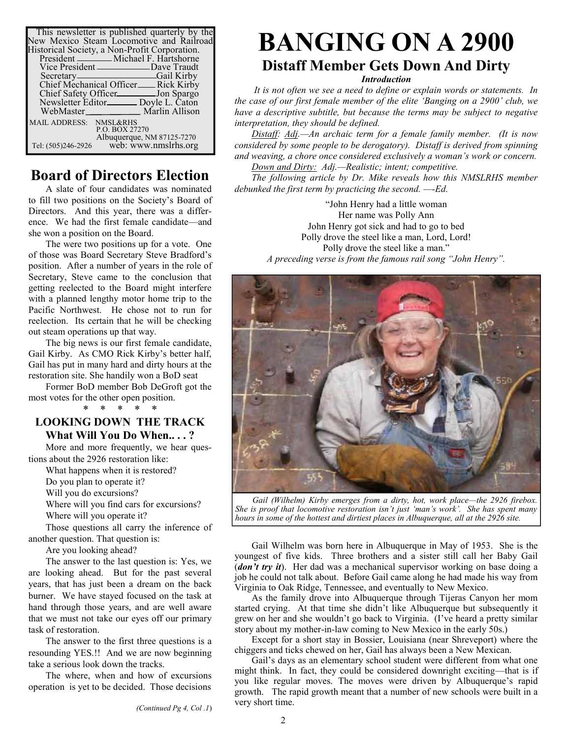| This newsletter is published quarterly by the<br>New Mexico Steam Locomotive and Railroad<br>Historical Society, a Non-Profit Corporation. |
|--------------------------------------------------------------------------------------------------------------------------------------------|
| President ________ Michael F. Hartshorne<br>Vice President ________________Dave Traudt                                                     |
| Secretary <sub>—</sub> ——————————————————Gail Kirby<br>Chief Mechanical Officer__Rick Kirby                                                |
| Chief Safety Officer__________ Jon Spargo<br>Newsletter Editor________ Doyle L. Caton                                                      |
| WebMaster Marlin Allison                                                                                                                   |
| MAIL ADDRESS: NMSL&RHS<br>P.O. BOX 27270<br>Albuquerque, NM 87125-7270                                                                     |
| web: www.nmslrhs.org<br>Tel: (505)246-2926                                                                                                 |

## **Board of Directors Election**

A slate of four candidates was nominated to fill two positions on the Society's Board of Directors. And this year, there was a difference. We had the first female candidate—and she won a position on the Board.

The were two positions up for a vote. One of those was Board Secretary Steve Bradford's position. After a number of years in the role of Secretary, Steve came to the conclusion that getting reelected to the Board might interfere with a planned lengthy motor home trip to the Pacific Northwest. He chose not to run for reelection. Its certain that he will be checking out steam operations up that way.

The big news is our first female candidate, Gail Kirby. As CMO Rick Kirby's better half, Gail has put in many hard and dirty hours at the restoration site. She handily won a BoD seat

Former BoD member Bob DeGroft got the most votes for the other open position. \* \* \* \* \*

#### **LOOKING DOWN THE TRACK What Will You Do When.. . . ?**

More and more frequently, we hear questions about the 2926 restoration like:

What happens when it is restored?

Do you plan to operate it?

Will you do excursions?

Where will you find cars for excursions? Where will you operate it?

Those questions all carry the inference of another question. That question is:

Are you looking ahead?

The answer to the last question is: Yes, we are looking ahead. But for the past several years, that has just been a dream on the back burner. We have stayed focused on the task at hand through those years, and are well aware that we must not take our eyes off our primary task of restoration.

The answer to the first three questions is a resounding YES.!! And we are now beginning take a serious look down the tracks.

The where, when and how of excursions operation is yet to be decided. Those decisions

#### *Introduction*

*It is not often we see a need to define or explain words or statements. In the case of our first female member of the elite 'Banging on a 2900' club, we have a descriptive subtitle, but because the terms may be subject to negative interpretation, they should be defined.*

*Distaff: Adj.—An archaic term for a female family member. (It is now considered by some people to be derogatory). Distaff is derived from spinning and weaving, a chore once considered exclusively a woman's work or concern.*

*Down and Dirty: Adj.—Realistic; intent; competitive.*

*The following article by Dr. Mike reveals how this NMSLRHS member debunked the first term by practicing the second. —-Ed.*

> "John Henry had a little woman Her name was Polly Ann John Henry got sick and had to go to bed Polly drove the steel like a man, Lord, Lord! Polly drove the steel like a man." *A preceding verse is from the famous rail song "John Henry".*



*Gail (Wilhelm) Kirby emerges from a dirty, hot, work place—the 2926 firebox. She is proof that locomotive restoration isn't just 'man's work'. She has spent many hours in some of the hottest and dirtiest places in Albuquerque, all at the 2926 site.*

Gail Wilhelm was born here in Albuquerque in May of 1953. She is the youngest of five kids. Three brothers and a sister still call her Baby Gail (*don't try it*). Her dad was a mechanical supervisor working on base doing a job he could not talk about. Before Gail came along he had made his way from Virginia to Oak Ridge, Tennessee, and eventually to New Mexico.

As the family drove into Albuquerque through Tijeras Canyon her mom started crying. At that time she didn't like Albuquerque but subsequently it grew on her and she wouldn't go back to Virginia. (I've heard a pretty similar story about my mother-in-law coming to New Mexico in the early 50s.)

Except for a short stay in Bossier, Louisiana (near Shreveport) where the chiggers and ticks chewed on her, Gail has always been a New Mexican.

Gail's days as an elementary school student were different from what one might think. In fact, they could be considered downright exciting—that is if you like regular moves. The moves were driven by Albuquerque's rapid growth. The rapid growth meant that a number of new schools were built in a very short time.

*(Continued Pg 4, Col .1*)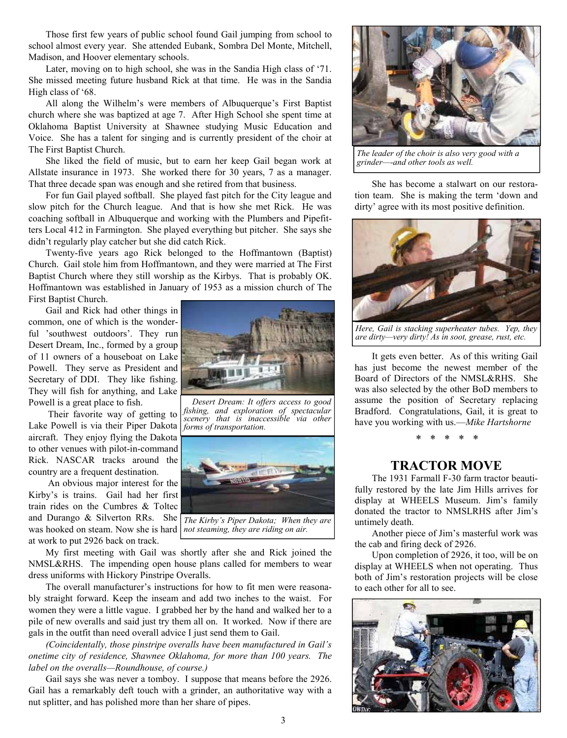Those first few years of public school found Gail jumping from school to school almost every year. She attended Eubank, Sombra Del Monte, Mitchell, Madison, and Hoover elementary schools.

Later, moving on to high school, she was in the Sandia High class of '71. She missed meeting future husband Rick at that time. He was in the Sandia High class of '68.

All along the Wilhelm's were members of Albuquerque's First Baptist church where she was baptized at age 7. After High School she spent time at Oklahoma Baptist University at Shawnee studying Music Education and Voice. She has a talent for singing and is currently president of the choir at The First Baptist Church.

She liked the field of music, but to earn her keep Gail began work at Allstate insurance in 1973. She worked there for 30 years, 7 as a manager. That three decade span was enough and she retired from that business.

For fun Gail played softball. She played fast pitch for the City league and slow pitch for the Church league. And that is how she met Rick. He was coaching softball in Albuquerque and working with the Plumbers and Pipefitters Local 412 in Farmington. She played everything but pitcher. She says she didn't regularly play catcher but she did catch Rick.

Twenty-five years ago Rick belonged to the Hoffmantown (Baptist) Church. Gail stole him from Hoffmantown, and they were married at The First Baptist Church where they still worship as the Kirbys. That is probably OK. Hoffmantown was established in January of 1953 as a mission church of The First Baptist Church.

Gail and Rick had other things in common, one of which is the wonderful 'southwest outdoors'. They run Desert Dream, Inc., formed by a group of 11 owners of a houseboat on Lake Powell. They serve as President and Secretary of DDI. They like fishing. They will fish for anything, and Lake Powell is a great place to fish.

 Their favorite way of getting to Lake Powell is via their Piper Dakota aircraft. They enjoy flying the Dakota to other venues with pilot-in-command Rick. NASCAR tracks around the country are a frequent destination.

 An obvious major interest for the Kirby's is trains. Gail had her first train rides on the Cumbres & Toltec and Durango & Silverton RRs. She was hooked on steam. Now she is hard at work to put 2926 back on track.



*Desert Dream: It offers access to good fishing, and exploration of spectacular scenery that is inaccessible via other forms of transportation.*



*The Kirby's Piper Dakota; When they are not steaming, they are riding on air.*

My first meeting with Gail was shortly after she and Rick joined the NMSL&RHS. The impending open house plans called for members to wear dress uniforms with Hickory Pinstripe Overalls.

The overall manufacturer's instructions for how to fit men were reasonably straight forward. Keep the inseam and add two inches to the waist. For women they were a little vague. I grabbed her by the hand and walked her to a pile of new overalls and said just try them all on. It worked. Now if there are gals in the outfit than need overall advice I just send them to Gail.

*(Coincidentally, those pinstripe overalls have been manufactured in Gail's onetime city of residence, Shawnee Oklahoma, for more than 100 years. The label on the overalls—Roundhouse, of course.)*

Gail says she was never a tomboy. I suppose that means before the 2926. Gail has a remarkably deft touch with a grinder, an authoritative way with a nut splitter, and has polished more than her share of pipes.



*The leader of the choir is also very good with a grinder—-and other tools as well.*

She has become a stalwart on our restoration team. She is making the term 'down and dirty' agree with its most positive definition.



*Here, Gail is stacking superheater tubes. Yep, they are dirty—very dirty! As in soot, grease, rust, etc.*

It gets even better. As of this writing Gail has just become the newest member of the Board of Directors of the NMSL&RHS. She was also selected by the other BoD members to assume the position of Secretary replacing Bradford. Congratulations, Gail, it is great to have you working with us.—*Mike Hartshorne*

*\* \* \* \* \**

#### **TRACTOR MOVE**

The 1931 Farmall F-30 farm tractor beautifully restored by the late Jim Hills arrives for display at WHEELS Museum. Jim's family donated the tractor to NMSLRHS after Jim's untimely death.

Another piece of Jim's masterful work was the cab and firing deck of 2926.

Upon completion of 2926, it too, will be on display at WHEELS when not operating. Thus both of Jim's restoration projects will be close to each other for all to see.